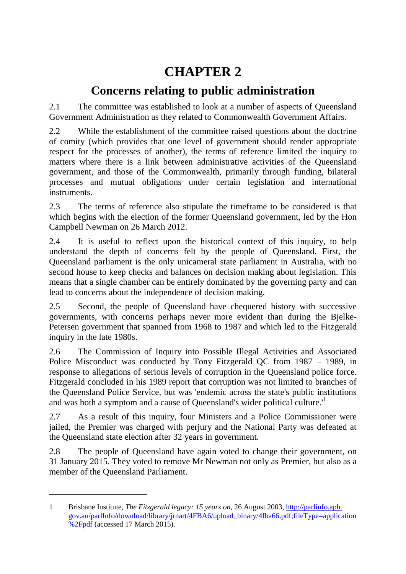# **CHAPTER 2**

## **Concerns relating to public administration**

2.1 The committee was established to look at a number of aspects of Queensland Government Administration as they related to Commonwealth Government Affairs.

2.2 While the establishment of the committee raised questions about the doctrine of comity (which provides that one level of government should render appropriate respect for the processes of another), the terms of reference limited the inquiry to matters where there is a link between administrative activities of the Queensland government, and those of the Commonwealth, primarily through funding, bilateral processes and mutual obligations under certain legislation and international instruments.

2.3 The terms of reference also stipulate the timeframe to be considered is that which begins with the election of the former Queensland government, led by the Hon Campbell Newman on 26 March 2012.

2.4 It is useful to reflect upon the historical context of this inquiry, to help understand the depth of concerns felt by the people of Queensland. First, the Queensland parliament is the only unicameral state parliament in Australia, with no second house to keep checks and balances on decision making about legislation. This means that a single chamber can be entirely dominated by the governing party and can lead to concerns about the independence of decision making.

2.5 Second, the people of Queensland have chequered history with successive governments, with concerns perhaps never more evident than during the Bjelke-Petersen government that spanned from 1968 to 1987 and which led to the Fitzgerald inquiry in the late 1980s.

2.6 The Commission of Inquiry into Possible Illegal Activities and Associated Police Misconduct was conducted by Tony Fitzgerald QC from 1987 – 1989, in response to allegations of serious levels of corruption in the Queensland police force. Fitzgerald concluded in his 1989 report that corruption was not limited to branches of the Queensland Police Service, but was 'endemic across the state's public institutions and was both a symptom and a cause of Queensland's wider political culture.<sup>1</sup>

2.7 As a result of this inquiry, four Ministers and a Police Commissioner were jailed, the Premier was charged with perjury and the National Party was defeated at the Queensland state election after 32 years in government.

2.8 The people of Queensland have again voted to change their government, on 31 January 2015. They voted to remove Mr Newman not only as Premier, but also as a member of the Queensland Parliament.

<sup>1</sup> Brisbane Institute, *The Fitzgerald legacy: 15 years on*, 26 August 2003, [http://parlinfo.aph.](http://parlinfo.aph.gov.au/parlInfo/download/library/jrnart/4FBA6/upload_binary/4fba66.pdf;fileType=application%2Fpdf) [gov.au/parlInfo/download/library/jrnart/4FBA6/upload\\_binary/4fba66.pdf;fileType=application](http://parlinfo.aph.gov.au/parlInfo/download/library/jrnart/4FBA6/upload_binary/4fba66.pdf;fileType=application%2Fpdf) [%2Fpdf](http://parlinfo.aph.gov.au/parlInfo/download/library/jrnart/4FBA6/upload_binary/4fba66.pdf;fileType=application%2Fpdf) (accessed 17 March 2015).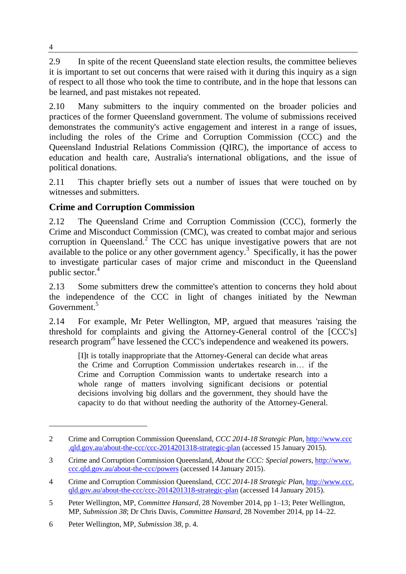2.9 In spite of the recent Queensland state election results, the committee believes it is important to set out concerns that were raised with it during this inquiry as a sign of respect to all those who took the time to contribute, and in the hope that lessons can be learned, and past mistakes not repeated.

2.10 Many submitters to the inquiry commented on the broader policies and practices of the former Queensland government. The volume of submissions received demonstrates the community's active engagement and interest in a range of issues, including the roles of the Crime and Corruption Commission (CCC) and the Queensland Industrial Relations Commission (QIRC), the importance of access to education and health care, Australia's international obligations, and the issue of political donations.

2.11 This chapter briefly sets out a number of issues that were touched on by witnesses and submitters.

## **Crime and Corruption Commission**

2.12 The Queensland Crime and Corruption Commission (CCC), formerly the Crime and Misconduct Commission (CMC), was created to combat major and serious corruption in Queensland.<sup>2</sup> The CCC has unique investigative powers that are not available to the police or any other government  $a$ gency.<sup>3</sup> Specifically, it has the power to investigate particular cases of major crime and misconduct in the Queensland public sector.<sup>4</sup>

2.13 Some submitters drew the committee's attention to concerns they hold about the independence of the CCC in light of changes initiated by the Newman Government.<sup>5</sup>

2.14 For example, Mr Peter Wellington, MP, argued that measures 'raising the threshold for complaints and giving the Attorney-General control of the [CCC's] research program<sup>6</sup> have lessened the CCC's independence and weakened its powers.

[I]t is totally inappropriate that the Attorney-General can decide what areas the Crime and Corruption Commission undertakes research in… if the Crime and Corruption Commission wants to undertake research into a whole range of matters involving significant decisions or potential decisions involving big dollars and the government, they should have the capacity to do that without needing the authority of the Attorney-General.

<sup>2</sup> Crime and Corruption Commission Queensland, *CCC 2014-18 Strategic Plan,* [http://www.ccc](http://www.ccc.qld.gov.au/about-the-ccc/ccc-2014201318-strategic-plan) [.qld.gov.au/about-the-ccc/ccc-2014201318-strategic-plan](http://www.ccc.qld.gov.au/about-the-ccc/ccc-2014201318-strategic-plan) (accessed 15 January 2015).

<sup>3</sup> Crime and Corruption Commission Queensland, *About the CCC: Special powers*, [http://www.](http://www.ccc.qld.gov.au/about-the-ccc/powers) [ccc.qld.gov.au/about-the-ccc/powers](http://www.ccc.qld.gov.au/about-the-ccc/powers) (accessed 14 January 2015).

<sup>4</sup> Crime and Corruption Commission Queensland, *CCC 2014-18 Strategic Plan*, [http://www.ccc.](http://www.ccc.qld.gov.au/about-the-ccc/ccc-2014201318-strategic-plan) [qld.gov.au/about-the-ccc/ccc-2014201318-strategic-plan](http://www.ccc.qld.gov.au/about-the-ccc/ccc-2014201318-strategic-plan) (accessed 14 January 2015).

<sup>5</sup> Peter Wellington, MP, *Committee Hansard*, 28 November 2014, pp 1–13; Peter Wellington, MP, *Submission 38*; Dr Chris Davis, *Committee Hansard*, 28 November 2014, pp 14–22.

<sup>6</sup> Peter Wellington, MP, *Submission 38*, p. 4.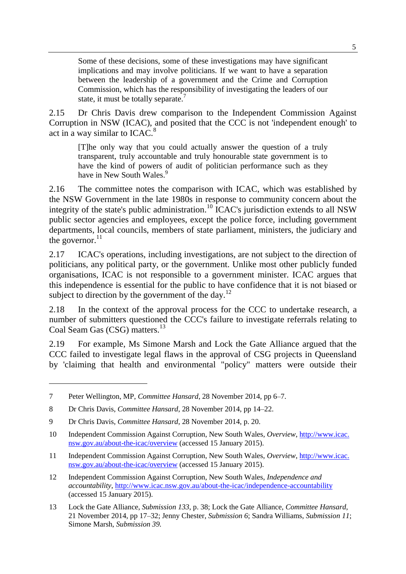Some of these decisions, some of these investigations may have significant implications and may involve politicians. If we want to have a separation between the leadership of a government and the Crime and Corruption Commission, which has the responsibility of investigating the leaders of our state, it must be totally separate.<sup>7</sup>

2.15 Dr Chris Davis drew comparison to the Independent Commission Against Corruption in NSW (ICAC), and posited that the CCC is not 'independent enough' to act in a way similar to ICAC.<sup>8</sup>

[T]he only way that you could actually answer the question of a truly transparent, truly accountable and truly honourable state government is to have the kind of powers of audit of politician performance such as they have in New South Wales.<sup>9</sup>

2.16 The committee notes the comparison with ICAC, which was established by the NSW Government in the late 1980s in response to community concern about the integrity of the state's public administration.<sup>10</sup> ICAC's jurisdiction extends to all NSW public sector agencies and employees, except the police force, including government departments, local councils, members of state parliament, ministers, the judiciary and the governor. $^{11}$ 

2.17 ICAC's operations, including investigations, are not subject to the direction of politicians, any political party, or the government. Unlike most other publicly funded organisations, ICAC is not responsible to a government minister. ICAC argues that this independence is essential for the public to have confidence that it is not biased or subject to direction by the government of the day.<sup>12</sup>

2.18 In the context of the approval process for the CCC to undertake research, a number of submitters questioned the CCC's failure to investigate referrals relating to Coal Seam Gas (CSG) matters.<sup>13</sup>

2.19 For example, Ms Simone Marsh and Lock the Gate Alliance argued that the CCC failed to investigate legal flaws in the approval of CSG projects in Queensland by 'claiming that health and environmental "policy" matters were outside their

<sup>7</sup> Peter Wellington, MP, *Committee Hansard*, 28 November 2014, pp 6–7.

<sup>8</sup> Dr Chris Davis, *Committee Hansard*, 28 November 2014, pp 14–22.

<sup>9</sup> Dr Chris Davis, *Committee Hansard*, 28 November 2014, p. 20.

<sup>10</sup> Independent Commission Against Corruption, New South Wales, *Overview*, [http://www.icac.](http://www.icac.nsw.gov.au/about-the-icac/overview) [nsw.gov.au/about-the-icac/overview](http://www.icac.nsw.gov.au/about-the-icac/overview) (accessed 15 January 2015).

<sup>11</sup> Independent Commission Against Corruption, New South Wales, *Overview*, [http://www.icac.](http://www.icac.nsw.gov.au/about-the-icac/overview) [nsw.gov.au/about-the-icac/overview](http://www.icac.nsw.gov.au/about-the-icac/overview) (accessed 15 January 2015).

<sup>12</sup> Independent Commission Against Corruption, New South Wales, *Independence and accountability,* <http://www.icac.nsw.gov.au/about-the-icac/independence-accountability> (accessed 15 January 2015).

<sup>13</sup> Lock the Gate Alliance, *Submission 133*, p. 38; Lock the Gate Alliance, *Committee Hansard*, 21 November 2014, pp 17–32; Jenny Chester, *Submission 6*; Sandra Williams, *Submission 11*; Simone Marsh, *Submission 39.*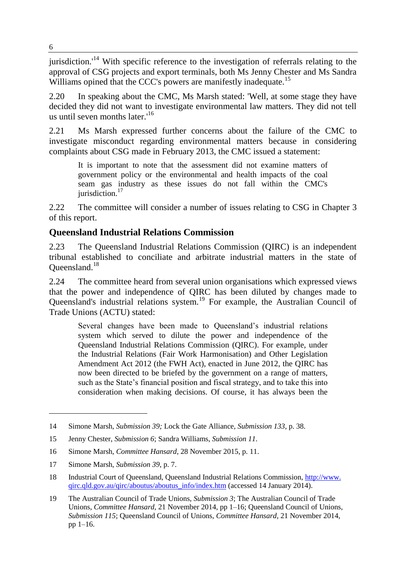jurisdiction.<sup>14</sup> With specific reference to the investigation of referrals relating to the approval of CSG projects and export terminals, both Ms Jenny Chester and Ms Sandra Williams opined that the CCC's powers are manifestly inadequate.<sup>15</sup>

2.20 In speaking about the CMC, Ms Marsh stated: 'Well, at some stage they have decided they did not want to investigate environmental law matters. They did not tell us until seven months later.' 16

2.21 Ms Marsh expressed further concerns about the failure of the CMC to investigate misconduct regarding environmental matters because in considering complaints about CSG made in February 2013, the CMC issued a statement:

It is important to note that the assessment did not examine matters of government policy or the environmental and health impacts of the coal seam gas industry as these issues do not fall within the CMC's jurisdiction.<sup>17</sup>

2.22 The committee will consider a number of issues relating to CSG in Chapter 3 of this report.

## **Queensland Industrial Relations Commission**

2.23 The Queensland Industrial Relations Commission (QIRC) is an independent tribunal established to conciliate and arbitrate industrial matters in the state of Queensland.<sup>18</sup>

2.24 The committee heard from several union organisations which expressed views that the power and independence of QIRC has been diluted by changes made to Queensland's industrial relations system.<sup>19</sup> For example, the Australian Council of Trade Unions (ACTU) stated:

Several changes have been made to Queensland's industrial relations system which served to dilute the power and independence of the Queensland Industrial Relations Commission (QIRC). For example, under the Industrial Relations (Fair Work Harmonisation) and Other Legislation Amendment Act 2012 (the FWH Act), enacted in June 2012, the QIRC has now been directed to be briefed by the government on a range of matters, such as the State's financial position and fiscal strategy, and to take this into consideration when making decisions. Of course, it has always been the

<sup>14</sup> Simone Marsh, *Submission 39;* Lock the Gate Alliance, *Submission 133*, p. 38.

<sup>15</sup> Jenny Chester, *Submission 6*; Sandra Williams, *Submission 11*.

<sup>16</sup> Simone Marsh, *Committee Hansard*, 28 November 2015, p. 11.

<sup>17</sup> Simone Marsh, *Submission 39*, p. 7.

<sup>18</sup> Industrial Court of Queensland, Queensland Industrial Relations Commission, [http://www.](http://www.qirc.qld.gov.au/qirc/aboutus/aboutus_info/index.htm) [qirc.qld.gov.au/qirc/aboutus/aboutus\\_info/index.htm](http://www.qirc.qld.gov.au/qirc/aboutus/aboutus_info/index.htm) (accessed 14 January 2014).

<sup>19</sup> The Australian Council of Trade Unions, *Submission 3*; The Australian Council of Trade Unions, *Committee Hansard,* 21 November 2014, pp 1–16; Queensland Council of Unions, *Submission 115*; Queensland Council of Unions, *Committee Hansard*, 21 November 2014, pp 1–16.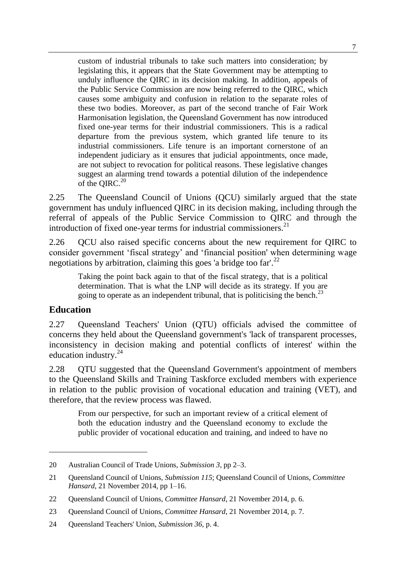custom of industrial tribunals to take such matters into consideration; by legislating this, it appears that the State Government may be attempting to unduly influence the QIRC in its decision making. In addition, appeals of the Public Service Commission are now being referred to the QIRC, which causes some ambiguity and confusion in relation to the separate roles of these two bodies. Moreover, as part of the second tranche of Fair Work Harmonisation legislation, the Queensland Government has now introduced fixed one-year terms for their industrial commissioners. This is a radical departure from the previous system, which granted life tenure to its industrial commissioners. Life tenure is an important cornerstone of an independent judiciary as it ensures that judicial appointments, once made, are not subject to revocation for political reasons. These legislative changes suggest an alarming trend towards a potential dilution of the independence of the OIRC. $20$ 

2.25 The Queensland Council of Unions (QCU) similarly argued that the state government has unduly influenced QIRC in its decision making, including through the referral of appeals of the Public Service Commission to QIRC and through the introduction of fixed one-year terms for industrial commissioners. $^{21}$ 

2.26 OCU also raised specific concerns about the new requirement for OIRC to consider government 'fiscal strategy' and 'financial position' when determining wage negotiations by arbitration, claiming this goes 'a bridge too far'.<sup>22</sup>

Taking the point back again to that of the fiscal strategy, that is a political determination. That is what the LNP will decide as its strategy. If you are going to operate as an independent tribunal, that is politicising the bench.<sup>23</sup>

#### **Education**

 $\overline{a}$ 

2.27 Queensland Teachers' Union (QTU) officials advised the committee of concerns they held about the Queensland government's 'lack of transparent processes, inconsistency in decision making and potential conflicts of interest' within the education industry. $24$ 

2.28 OTU suggested that the Queensland Government's appointment of members to the Queensland Skills and Training Taskforce excluded members with experience in relation to the public provision of vocational education and training (VET), and therefore, that the review process was flawed.

From our perspective, for such an important review of a critical element of both the education industry and the Queensland economy to exclude the public provider of vocational education and training, and indeed to have no

<sup>20</sup> Australian Council of Trade Unions, *Submission 3,* pp 2–3.

<sup>21</sup> Queensland Council of Unions, *Submission 115*; Queensland Council of Unions, *Committee Hansard*, 21 November 2014, pp 1–16.

<sup>22</sup> Queensland Council of Unions, *Committee Hansard*, 21 November 2014, p. 6.

<sup>23</sup> Queensland Council of Unions, *Committee Hansard*, 21 November 2014, p. 7.

<sup>24</sup> Queensland Teachers' Union, *Submission 36*, p. 4.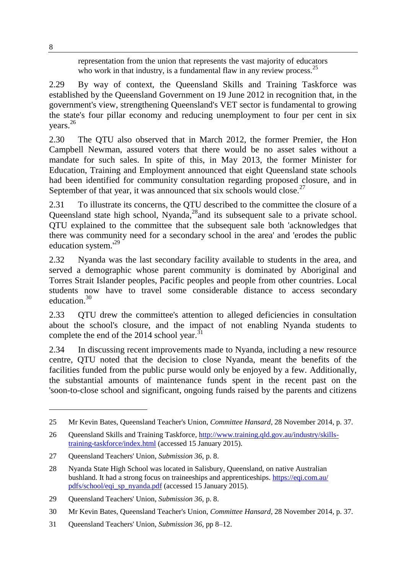representation from the union that represents the vast majority of educators who work in that industry, is a fundamental flaw in any review process.  $2^5$ 

2.29 By way of context, the Queensland Skills and Training Taskforce was established by the Queensland Government on 19 June 2012 in recognition that, in the government's view, strengthening Queensland's VET sector is fundamental to growing the state's four pillar economy and reducing unemployment to four per cent in six years. 26

2.30 The QTU also observed that in March 2012, the former Premier, the Hon Campbell Newman, assured voters that there would be no asset sales without a mandate for such sales. In spite of this, in May 2013, the former Minister for Education, Training and Employment announced that eight Queensland state schools had been identified for community consultation regarding proposed closure, and in September of that year, it was announced that six schools would close.<sup>27</sup>

2.31 To illustrate its concerns, the QTU described to the committee the closure of a Queensland state high school, Nyanda,<sup>28</sup> and its subsequent sale to a private school. QTU explained to the committee that the subsequent sale both 'acknowledges that there was community need for a secondary school in the area' and 'erodes the public education system.'<sup>29</sup>

2.32 Nyanda was the last secondary facility available to students in the area, and served a demographic whose parent community is dominated by Aboriginal and Torres Strait Islander peoples, Pacific peoples and people from other countries. Local students now have to travel some considerable distance to access secondary education.<sup>30</sup>

2.33 QTU drew the committee's attention to alleged deficiencies in consultation about the school's closure, and the impact of not enabling Nyanda students to complete the end of the 2014 school year. $31$ 

2.34 In discussing recent improvements made to Nyanda, including a new resource centre, QTU noted that the decision to close Nyanda, meant the benefits of the facilities funded from the public purse would only be enjoyed by a few. Additionally, the substantial amounts of maintenance funds spent in the recent past on the 'soon-to-close school and significant, ongoing funds raised by the parents and citizens

8

<sup>25</sup> Mr Kevin Bates, Queensland Teacher's Union, *Committee Hansard*, 28 November 2014, p. 37.

<sup>26</sup> Queensland Skills and Training Taskforce, [http://www.training.qld.gov.au/industry/skills](http://www.training.qld.gov.au/industry/skills-training-taskforce/index.html)[training-taskforce/index.html](http://www.training.qld.gov.au/industry/skills-training-taskforce/index.html) (accessed 15 January 2015).

<sup>27</sup> Queensland Teachers' Union, *Submission 36*, p. 8.

<sup>28</sup> Nyanda State High School was located in Salisbury, Queensland, on native Australian bushland. It had a strong focus on traineeships and apprenticeships. [https://eqi.com.au/](https://eqi.com.au/pdfs/school/eqi_sp_nyanda.pdf) [pdfs/school/eqi\\_sp\\_nyanda.pdf](https://eqi.com.au/pdfs/school/eqi_sp_nyanda.pdf) (accessed 15 January 2015).

<sup>29</sup> Queensland Teachers' Union, *Submission 36,* p. 8.

<sup>30</sup> Mr Kevin Bates, Queensland Teacher's Union, *Committee Hansard*, 28 November 2014, p. 37.

<sup>31</sup> Queensland Teachers' Union, *Submission 36,* pp 8–12.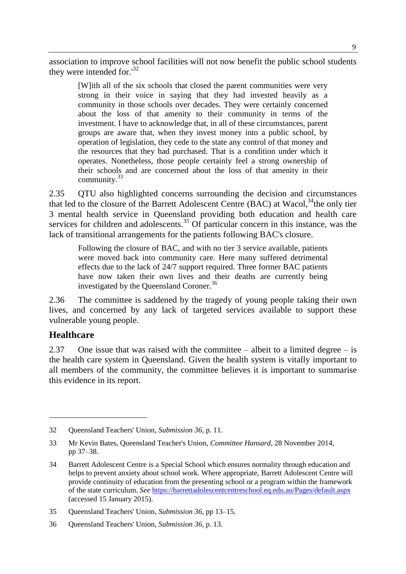association to improve school facilities will not now benefit the public school students they were intended for.<sup>132</sup>

[W]ith all of the six schools that closed the parent communities were very strong in their voice in saying that they had invested heavily as a community in those schools over decades. They were certainly concerned about the loss of that amenity to their community in terms of the investment. I have to acknowledge that, in all of these circumstances, parent groups are aware that, when they invest money into a public school, by operation of legislation, they cede to the state any control of that money and the resources that they had purchased. That is a condition under which it operates. Nonetheless, those people certainly feel a strong ownership of their schools and are concerned about the loss of that amenity in their community.<sup>33</sup>

2.35 QTU also highlighted concerns surrounding the decision and circumstances that led to the closure of the Barrett Adolescent Centre (BAC) at Wacol,<sup>34</sup>the only tier 3 mental health service in Queensland providing both education and health care services for children and adolescents.<sup>35</sup> Of particular concern in this instance, was the lack of transitional arrangements for the patients following BAC's closure.

Following the closure of BAC, and with no tier 3 service available, patients were moved back into community care. Here many suffered detrimental effects due to the lack of 24/7 support required. Three former BAC patients have now taken their own lives and their deaths are currently being investigated by the Queensland Coroner.<sup>36</sup>

2.36 The committee is saddened by the tragedy of young people taking their own lives, and concerned by any lack of targeted services available to support these vulnerable young people.

#### **Healthcare**

 $\overline{a}$ 

2.37 One issue that was raised with the committee  $-$  albeit to a limited degree  $-$  is the health care system in Queensland. Given the health system is vitally important to all members of the community, the committee believes it is important to summarise this evidence in its report.

<sup>32</sup> Queensland Teachers' Union, *Submission 36,* p. 11.

<sup>33</sup> Mr Kevin Bates, Queensland Teacher's Union, *Committee Hansard*, 28 November 2014, pp 37–38.

<sup>34</sup> Barrett Adolescent Centre is a Special School which ensures normality through education and helps to prevent anxiety about school work. Where appropriate, Barrett Adolescent Centre will provide continuity of education from the presenting school or a program within the framework of the state curriculum. *See* <https://barrettadolescentcentreschool.eq.edu.au/Pages/default.aspx> (accessed 15 January 2015).

<sup>35</sup> Queensland Teachers' Union, *Submission 36,* pp 13–15.

<sup>36</sup> Queensland Teachers' Union, *Submission 36*, p. 13.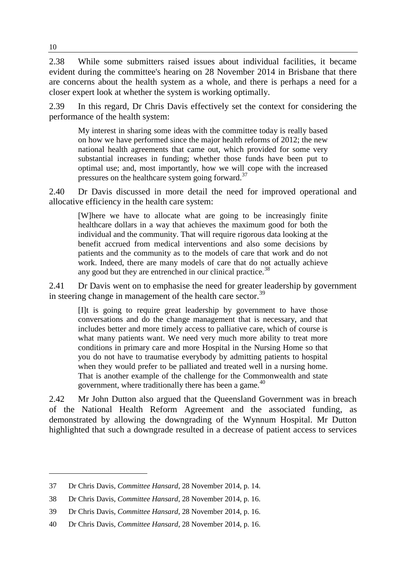2.38 While some submitters raised issues about individual facilities, it became evident during the committee's hearing on 28 November 2014 in Brisbane that there are concerns about the health system as a whole, and there is perhaps a need for a closer expert look at whether the system is working optimally.

2.39 In this regard, Dr Chris Davis effectively set the context for considering the performance of the health system:

My interest in sharing some ideas with the committee today is really based on how we have performed since the major health reforms of 2012; the new national health agreements that came out, which provided for some very substantial increases in funding; whether those funds have been put to optimal use; and, most importantly, how we will cope with the increased pressures on the healthcare system going forward.<sup>37</sup>

2.40 Dr Davis discussed in more detail the need for improved operational and allocative efficiency in the health care system:

[W]here we have to allocate what are going to be increasingly finite healthcare dollars in a way that achieves the maximum good for both the individual and the community. That will require rigorous data looking at the benefit accrued from medical interventions and also some decisions by patients and the community as to the models of care that work and do not work. Indeed, there are many models of care that do not actually achieve any good but they are entrenched in our clinical practice. $38$ 

2.41 Dr Davis went on to emphasise the need for greater leadership by government in steering change in management of the health care sector.<sup>39</sup>

[I]t is going to require great leadership by government to have those conversations and do the change management that is necessary, and that includes better and more timely access to palliative care, which of course is what many patients want. We need very much more ability to treat more conditions in primary care and more Hospital in the Nursing Home so that you do not have to traumatise everybody by admitting patients to hospital when they would prefer to be palliated and treated well in a nursing home. That is another example of the challenge for the Commonwealth and state government, where traditionally there has been a game. $40$ 

2.42 Mr John Dutton also argued that the Queensland Government was in breach of the National Health Reform Agreement and the associated funding, as demonstrated by allowing the downgrading of the Wynnum Hospital. Mr Dutton highlighted that such a downgrade resulted in a decrease of patient access to services

<sup>37</sup> Dr Chris Davis, *Committee Hansard*, 28 November 2014, p. 14.

<sup>38</sup> Dr Chris Davis, *Committee Hansard*, 28 November 2014, p. 16.

<sup>39</sup> Dr Chris Davis, *Committee Hansard*, 28 November 2014, p. 16.

<sup>40</sup> Dr Chris Davis, *Committee Hansard*, 28 November 2014, p. 16.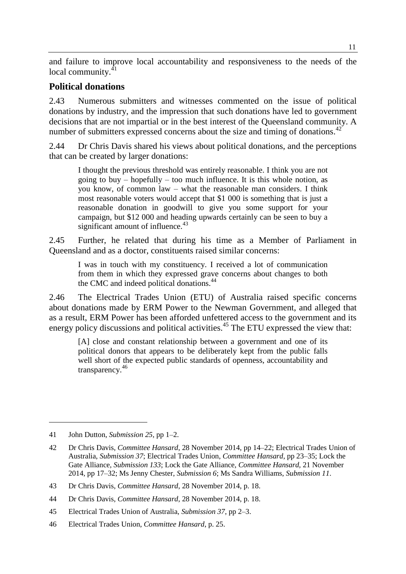and failure to improve local accountability and responsiveness to the needs of the local community.<sup>41</sup>

### **Political donations**

2.43 Numerous submitters and witnesses commented on the issue of political donations by industry, and the impression that such donations have led to government decisions that are not impartial or in the best interest of the Queensland community. A number of submitters expressed concerns about the size and timing of donations.<sup>42</sup>

2.44 Dr Chris Davis shared his views about political donations, and the perceptions that can be created by larger donations:

I thought the previous threshold was entirely reasonable. I think you are not going to buy – hopefully – too much influence. It is this whole notion, as you know, of common law – what the reasonable man considers. I think most reasonable voters would accept that \$1 000 is something that is just a reasonable donation in goodwill to give you some support for your campaign, but \$12 000 and heading upwards certainly can be seen to buy a significant amount of influence.<sup>43</sup>

2.45 Further, he related that during his time as a Member of Parliament in Queensland and as a doctor, constituents raised similar concerns:

I was in touch with my constituency. I received a lot of communication from them in which they expressed grave concerns about changes to both the CMC and indeed political donations.<sup>44</sup>

2.46 The Electrical Trades Union (ETU) of Australia raised specific concerns about donations made by ERM Power to the Newman Government, and alleged that as a result, ERM Power has been afforded unfettered access to the government and its energy policy discussions and political activities.<sup>45</sup> The ETU expressed the view that:

[A] close and constant relationship between a government and one of its political donors that appears to be deliberately kept from the public falls well short of the expected public standards of openness, accountability and transparency.<sup>46</sup>

<sup>41</sup> John Dutton, *Submission 25*, pp 1–2.

<sup>42</sup> Dr Chris Davis, *Committee Hansard*, 28 November 2014, pp 14–22; Electrical Trades Union of Australia, *Submission 37*; Electrical Trades Union, *Committee Hansard*, pp 23–35; Lock the Gate Alliance, *Submission 133*; Lock the Gate Alliance, *Committee Hansard,* 21 November 2014, pp 17–32; Ms Jenny Chester, *Submission 6*; Ms Sandra Williams, *Submission 11*.

<sup>43</sup> Dr Chris Davis, *Committee Hansard*, 28 November 2014, p. 18.

<sup>44</sup> Dr Chris Davis, *Committee Hansard*, 28 November 2014, p. 18.

<sup>45</sup> Electrical Trades Union of Australia, *Submission 37*, pp 2–3.

<sup>46</sup> Electrical Trades Union, *Committee Hansard*, p. 25.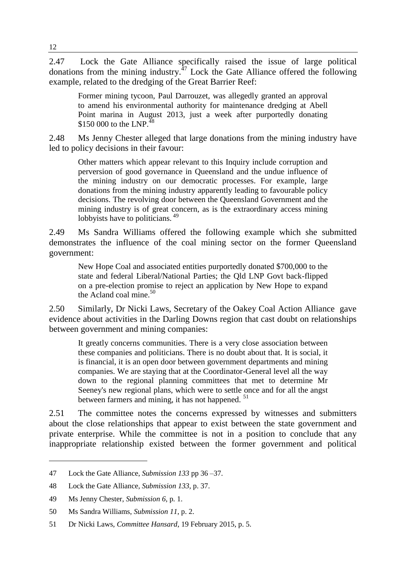2.47 Lock the Gate Alliance specifically raised the issue of large political donations from the mining industry. $^{47}$  Lock the Gate Alliance offered the following example, related to the dredging of the Great Barrier Reef:

Former mining tycoon, Paul Darrouzet, was allegedly granted an approval to amend his environmental authority for maintenance dredging at Abell Point marina in August 2013, just a week after purportedly donating \$150,000 to the LNP.<sup>48</sup>

2.48 Ms Jenny Chester alleged that large donations from the mining industry have led to policy decisions in their favour:

Other matters which appear relevant to this Inquiry include corruption and perversion of good governance in Queensland and the undue influence of the mining industry on our democratic processes. For example, large donations from the mining industry apparently leading to favourable policy decisions. The revolving door between the Queensland Government and the mining industry is of great concern, as is the extraordinary access mining lobbyists have to politicians.<sup>49</sup>

2.49 Ms Sandra Williams offered the following example which she submitted demonstrates the influence of the coal mining sector on the former Queensland government:

New Hope Coal and associated entities purportedly donated \$700,000 to the state and federal Liberal/National Parties; the Qld LNP Govt back-flipped on a pre-election promise to reject an application by New Hope to expand the Acland coal mine. $50$ 

2.50 Similarly, Dr Nicki Laws, Secretary of the Oakey Coal Action Alliance gave evidence about activities in the Darling Downs region that cast doubt on relationships between government and mining companies:

It greatly concerns communities. There is a very close association between these companies and politicians. There is no doubt about that. It is social, it is financial, it is an open door between government departments and mining companies. We are staying that at the Coordinator-General level all the way down to the regional planning committees that met to determine Mr Seeney's new regional plans, which were to settle once and for all the angst between farmers and mining, it has not happened.<sup>51</sup>

2.51 The committee notes the concerns expressed by witnesses and submitters about the close relationships that appear to exist between the state government and private enterprise. While the committee is not in a position to conclude that any inappropriate relationship existed between the former government and political

<sup>47</sup> Lock the Gate Alliance, *Submission 133* pp 36 –37.

<sup>48</sup> Lock the Gate Alliance, *Submission 133,* p. 37.

<sup>49</sup> Ms Jenny Chester, *Submission 6*, p. 1.

<sup>50</sup> Ms Sandra Williams, *Submission 11*, p. 2.

<sup>51</sup> Dr Nicki Laws, *Committee Hansard*, 19 February 2015, p. 5.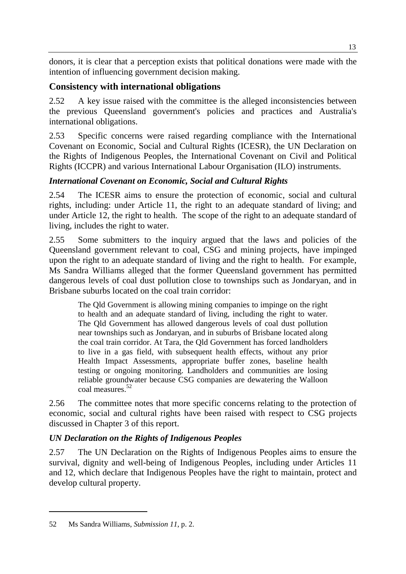donors, it is clear that a perception exists that political donations were made with the intention of influencing government decision making.

## **Consistency with international obligations**

2.52 A key issue raised with the committee is the alleged inconsistencies between the previous Queensland government's policies and practices and Australia's international obligations.

2.53 Specific concerns were raised regarding compliance with the International Covenant on Economic, Social and Cultural Rights (ICESR), the UN Declaration on the Rights of Indigenous Peoples, the International Covenant on Civil and Political Rights (ICCPR) and various International Labour Organisation (ILO) instruments.

## *International Covenant on Economic, Social and Cultural Rights*

2.54 The ICESR aims to ensure the protection of economic, social and cultural rights, including: under Article 11, the right to an adequate standard of living; and under Article 12, the right to health. The scope of the right to an adequate standard of living, includes the right to water.

2.55 Some submitters to the inquiry argued that the laws and policies of the Queensland government relevant to coal, CSG and mining projects, have impinged upon the right to an adequate standard of living and the right to health. For example, Ms Sandra Williams alleged that the former Queensland government has permitted dangerous levels of coal dust pollution close to townships such as Jondaryan, and in Brisbane suburbs located on the coal train corridor:

The Qld Government is allowing mining companies to impinge on the right to health and an adequate standard of living, including the right to water. The Qld Government has allowed dangerous levels of coal dust pollution near townships such as Jondaryan, and in suburbs of Brisbane located along the coal train corridor. At Tara, the Qld Government has forced landholders to live in a gas field, with subsequent health effects, without any prior Health Impact Assessments, appropriate buffer zones, baseline health testing or ongoing monitoring. Landholders and communities are losing reliable groundwater because CSG companies are dewatering the Walloon coal measures.<sup>52</sup>

2.56 The committee notes that more specific concerns relating to the protection of economic, social and cultural rights have been raised with respect to CSG projects discussed in Chapter 3 of this report.

## *UN Declaration on the Rights of Indigenous Peoples*

2.57 The UN Declaration on the Rights of Indigenous Peoples aims to ensure the survival, dignity and well-being of Indigenous Peoples, including under Articles 11 and 12, which declare that Indigenous Peoples have the right to maintain, protect and develop cultural property.

<sup>52</sup> Ms Sandra Williams, *Submission 11*, p. 2.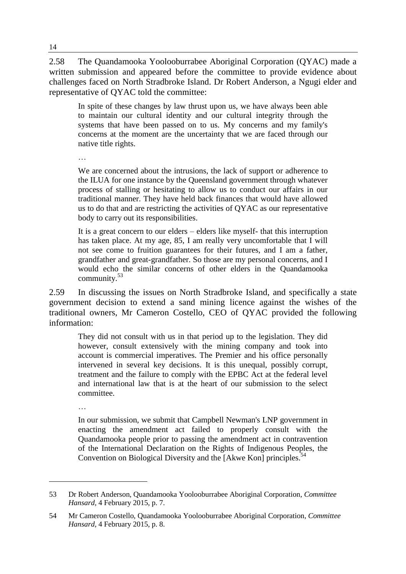2.58 The Quandamooka Yoolooburrabee Aboriginal Corporation (QYAC) made a written submission and appeared before the committee to provide evidence about challenges faced on North Stradbroke Island. Dr Robert Anderson, a Ngugi elder and representative of QYAC told the committee:

In spite of these changes by law thrust upon us, we have always been able to maintain our cultural identity and our cultural integrity through the systems that have been passed on to us. My concerns and my family's concerns at the moment are the uncertainty that we are faced through our native title rights.

…

We are concerned about the intrusions, the lack of support or adherence to the ILUA for one instance by the Queensland government through whatever process of stalling or hesitating to allow us to conduct our affairs in our traditional manner. They have held back finances that would have allowed us to do that and are restricting the activities of QYAC as our representative body to carry out its responsibilities.

It is a great concern to our elders – elders like myself- that this interruption has taken place. At my age, 85, I am really very uncomfortable that I will not see come to fruition guarantees for their futures, and I am a father, grandfather and great-grandfather. So those are my personal concerns, and I would echo the similar concerns of other elders in the Quandamooka community.<sup>53</sup>

2.59 In discussing the issues on North Stradbroke Island, and specifically a state government decision to extend a sand mining licence against the wishes of the traditional owners, Mr Cameron Costello, CEO of QYAC provided the following information:

They did not consult with us in that period up to the legislation. They did however, consult extensively with the mining company and took into account is commercial imperatives. The Premier and his office personally intervened in several key decisions. It is this unequal, possibly corrupt, treatment and the failure to comply with the EPBC Act at the federal level and international law that is at the heart of our submission to the select committee.

…

 $\overline{a}$ 

In our submission, we submit that Campbell Newman's LNP government in enacting the amendment act failed to properly consult with the Quandamooka people prior to passing the amendment act in contravention of the International Declaration on the Rights of Indigenous Peoples, the Convention on Biological Diversity and the [Akwe Kon] principles.<sup>54</sup>

<sup>53</sup> Dr Robert Anderson, Quandamooka Yoolooburrabee Aboriginal Corporation, *Committee Hansard,* 4 February 2015, p. 7.

<sup>54</sup> Mr Cameron Costello, Quandamooka Yoolooburrabee Aboriginal Corporation, *Committee Hansard,* 4 February 2015, p. 8.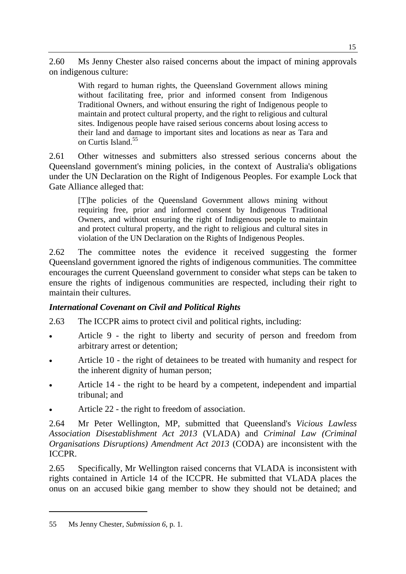2.60 Ms Jenny Chester also raised concerns about the impact of mining approvals on indigenous culture:

With regard to human rights, the Queensland Government allows mining without facilitating free, prior and informed consent from Indigenous Traditional Owners, and without ensuring the right of Indigenous people to maintain and protect cultural property, and the right to religious and cultural sites. Indigenous people have raised serious concerns about losing access to their land and damage to important sites and locations as near as Tara and on Curtis Island.<sup>55</sup>

2.61 Other witnesses and submitters also stressed serious concerns about the Queensland government's mining policies, in the context of Australia's obligations under the UN Declaration on the Right of Indigenous Peoples. For example Lock that Gate Alliance alleged that:

[T]he policies of the Queensland Government allows mining without requiring free, prior and informed consent by Indigenous Traditional Owners, and without ensuring the right of Indigenous people to maintain and protect cultural property, and the right to religious and cultural sites in violation of the UN Declaration on the Rights of Indigenous Peoples.

2.62 The committee notes the evidence it received suggesting the former Queensland government ignored the rights of indigenous communities. The committee encourages the current Queensland government to consider what steps can be taken to ensure the rights of indigenous communities are respected, including their right to maintain their cultures.

## *International Covenant on Civil and Political Rights*

- 2.63 The ICCPR aims to protect civil and political rights, including:
- Article 9 the right to liberty and security of person and freedom from arbitrary arrest or detention;
- Article 10 the right of detainees to be treated with humanity and respect for the inherent dignity of human person;
- Article 14 the right to be heard by a competent, independent and impartial tribunal; and
- Article 22 the right to freedom of association.

2.64 Mr Peter Wellington, MP, submitted that Queensland's *Vicious Lawless Association Disestablishment Act 2013* (VLADA) and *Criminal Law (Criminal Organisations Disruptions) Amendment Act 2013* (CODA) are inconsistent with the ICCPR.

2.65 Specifically, Mr Wellington raised concerns that VLADA is inconsistent with rights contained in Article 14 of the ICCPR. He submitted that VLADA places the onus on an accused bikie gang member to show they should not be detained; and

<sup>55</sup> Ms Jenny Chester, *Submission 6*, p. 1.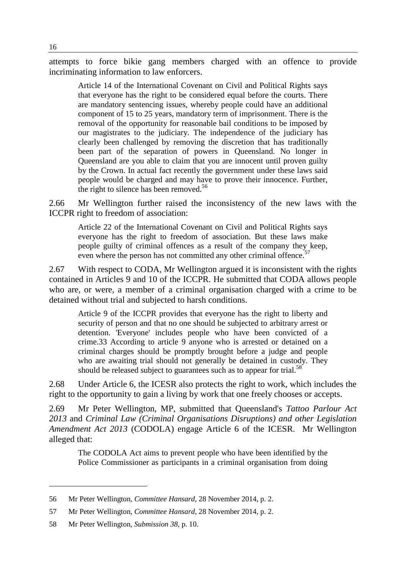attempts to force bikie gang members charged with an offence to provide incriminating information to law enforcers.

Article 14 of the International Covenant on Civil and Political Rights says that everyone has the right to be considered equal before the courts. There are mandatory sentencing issues, whereby people could have an additional component of 15 to 25 years, mandatory term of imprisonment. There is the removal of the opportunity for reasonable bail conditions to be imposed by our magistrates to the judiciary. The independence of the judiciary has clearly been challenged by removing the discretion that has traditionally been part of the separation of powers in Queensland. No longer in Queensland are you able to claim that you are innocent until proven guilty by the Crown. In actual fact recently the government under these laws said people would be charged and may have to prove their innocence. Further, the right to silence has been removed.<sup>56</sup>

2.66 Mr Wellington further raised the inconsistency of the new laws with the ICCPR right to freedom of association:

Article 22 of the International Covenant on Civil and Political Rights says everyone has the right to freedom of association. But these laws make people guilty of criminal offences as a result of the company they keep, even where the person has not committed any other criminal offence.<sup>57</sup>

2.67 With respect to CODA, Mr Wellington argued it is inconsistent with the rights contained in Articles 9 and 10 of the ICCPR. He submitted that CODA allows people who are, or were, a member of a criminal organisation charged with a crime to be detained without trial and subjected to harsh conditions.

Article 9 of the ICCPR provides that everyone has the right to liberty and security of person and that no one should be subjected to arbitrary arrest or detention. 'Everyone' includes people who have been convicted of a crime.33 According to article 9 anyone who is arrested or detained on a criminal charges should be promptly brought before a judge and people who are awaiting trial should not generally be detained in custody. They should be released subject to guarantees such as to appear for trial.<sup>58</sup>

2.68 Under Article 6, the ICESR also protects the right to work, which includes the right to the opportunity to gain a living by work that one freely chooses or accepts.

2.69 Mr Peter Wellington, MP, submitted that Queensland's *Tattoo Parlour Act 2013* and *Criminal Law (Criminal Organisations Disruptions) and other Legislation Amendment Act 2013* (CODOLA) engage Article 6 of the ICESR. Mr Wellington alleged that:

The CODOLA Act aims to prevent people who have been identified by the Police Commissioner as participants in a criminal organisation from doing

<sup>56</sup> Mr Peter Wellington, *Committee Hansard*, 28 November 2014, p. 2.

<sup>57</sup> Mr Peter Wellington, *Committee Hansard*, 28 November 2014, p. 2.

<sup>58</sup> Mr Peter Wellington, *Submission 38*, p. 10.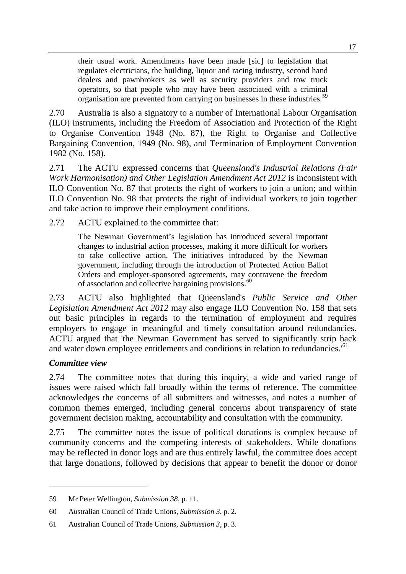their usual work. Amendments have been made [sic] to legislation that regulates electricians, the building, liquor and racing industry, second hand dealers and pawnbrokers as well as security providers and tow truck operators, so that people who may have been associated with a criminal organisation are prevented from carrying on businesses in these industries.<sup>59</sup>

2.70 Australia is also a signatory to a number of International Labour Organisation (ILO) instruments, including the Freedom of Association and Protection of the Right to Organise Convention 1948 (No. 87), the Right to Organise and Collective Bargaining Convention, 1949 (No. 98), and Termination of Employment Convention 1982 (No. 158).

2.71 The ACTU expressed concerns that *Queensland's Industrial Relations (Fair Work Harmonisation) and Other Legislation Amendment Act 2012* is inconsistent with ILO Convention No. 87 that protects the right of workers to join a union; and within ILO Convention No. 98 that protects the right of individual workers to join together and take action to improve their employment conditions.

2.72 ACTU explained to the committee that:

The Newman Government's legislation has introduced several important changes to industrial action processes, making it more difficult for workers to take collective action. The initiatives introduced by the Newman government, including through the introduction of Protected Action Ballot Orders and employer-sponsored agreements, may contravene the freedom of association and collective bargaining provisions.<sup>60</sup>

2.73 ACTU also highlighted that Queensland's *Public Service and Other Legislation Amendment Act 2012* may also engage ILO Convention No. 158 that sets out basic principles in regards to the termination of employment and requires employers to engage in meaningful and timely consultation around redundancies. ACTU argued that 'the Newman Government has served to significantly strip back and water down employee entitlements and conditions in relation to redundancies.<sup>'61</sup>

#### *Committee view*

 $\overline{a}$ 

2.74 The committee notes that during this inquiry, a wide and varied range of issues were raised which fall broadly within the terms of reference. The committee acknowledges the concerns of all submitters and witnesses, and notes a number of common themes emerged, including general concerns about transparency of state government decision making, accountability and consultation with the community.

2.75 The committee notes the issue of political donations is complex because of community concerns and the competing interests of stakeholders. While donations may be reflected in donor logs and are thus entirely lawful, the committee does accept that large donations, followed by decisions that appear to benefit the donor or donor

<sup>59</sup> Mr Peter Wellington, *Submission 38*, p. 11.

<sup>60</sup> Australian Council of Trade Unions, *Submission 3*, p. 2.

<sup>61</sup> Australian Council of Trade Unions, *Submission 3*, p. 3.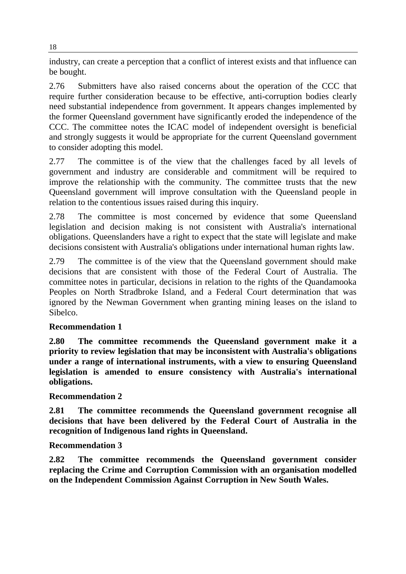industry, can create a perception that a conflict of interest exists and that influence can be bought.

2.76 Submitters have also raised concerns about the operation of the CCC that require further consideration because to be effective, anti-corruption bodies clearly need substantial independence from government. It appears changes implemented by the former Queensland government have significantly eroded the independence of the CCC. The committee notes the ICAC model of independent oversight is beneficial and strongly suggests it would be appropriate for the current Queensland government to consider adopting this model.

2.77 The committee is of the view that the challenges faced by all levels of government and industry are considerable and commitment will be required to improve the relationship with the community. The committee trusts that the new Queensland government will improve consultation with the Queensland people in relation to the contentious issues raised during this inquiry.

2.78 The committee is most concerned by evidence that some Queensland legislation and decision making is not consistent with Australia's international obligations. Queenslanders have a right to expect that the state will legislate and make decisions consistent with Australia's obligations under international human rights law.

2.79 The committee is of the view that the Queensland government should make decisions that are consistent with those of the Federal Court of Australia. The committee notes in particular, decisions in relation to the rights of the Quandamooka Peoples on North Stradbroke Island, and a Federal Court determination that was ignored by the Newman Government when granting mining leases on the island to Sibelco.

## **Recommendation 1**

**2.80 The committee recommends the Queensland government make it a priority to review legislation that may be inconsistent with Australia's obligations under a range of international instruments, with a view to ensuring Queensland legislation is amended to ensure consistency with Australia's international obligations.**

#### **Recommendation 2**

**2.81 The committee recommends the Queensland government recognise all decisions that have been delivered by the Federal Court of Australia in the recognition of Indigenous land rights in Queensland.**

#### **Recommendation 3**

**2.82 The committee recommends the Queensland government consider replacing the Crime and Corruption Commission with an organisation modelled on the Independent Commission Against Corruption in New South Wales.**